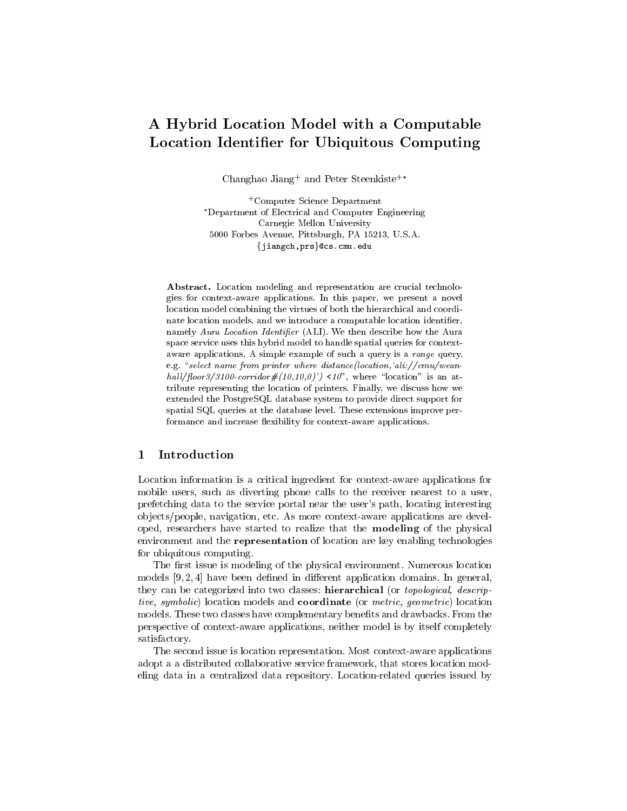# A Hybrid Location Model with a Computable Location Identifier for Ubiquitous Computing

Changhao Jiang<sup>+</sup> and Peter Steenkiste<sup>+\*</sup>

 $^+$ Computer Science Department \*Department of Electrical and Computer Engineering Carnegie Mellon University 5000 Forbes Avenue, Pittsburgh, PA 15213, U.S.A. {jiangch, prs}@cs.cmu.edu

Abstract. Location modeling and representation are crucial technologies for context-aware applications. In this paper, we present a novel location model combining the virtues of both the hierarchical and coordinate location models, and we introduce a computable location identifier, namely Aura Location Identifier (ALI). We then describe how the Aura space service uses this hybrid model to handle spatial queries for contextaware applications. A simple example of such a query is a range query, e.g. "select name from printer where distance (location, 'ali://cmu/weanhall/floor3/3100-corridor# $(10,10,0)'$  <10", where "location" is an attribute representing the location of printers. Finally, we discuss how we extended the PostgreSQL database system to provide direct support for spatial SQL queries at the database level. These extensions improve performance and increase flexibility for context-aware applications.

#### Introduction  $\mathbf 1$

Location information is a critical ingredient for context-aware applications for mobile users, such as diverting phone calls to the receiver nearest to a user, prefetching data to the service portal near the user's path, locating interesting objects/people, navigation, etc. As more context-aware applications are developed, researchers have started to realize that the modeling of the physical environment and the representation of location are key enabling technologies for ubiquitous computing.

The first issue is modeling of the physical environment. Numerous location models  $[9, 2, 4]$  have been defined in different application domains. In general, they can be categorized into two classes: hierarchical (or topological, descriptive, symbolic) location models and coordinate (or metric, geometric) location models. These two classes have complementary benefits and drawbacks. From the perspective of context-aware applications, neither model is by itself completely satisfactory.

The second issue is location representation. Most context-aware applications adopt a a distributed collaborative service framework, that stores location modeling data in a centralized data repository. Location-related queries issued by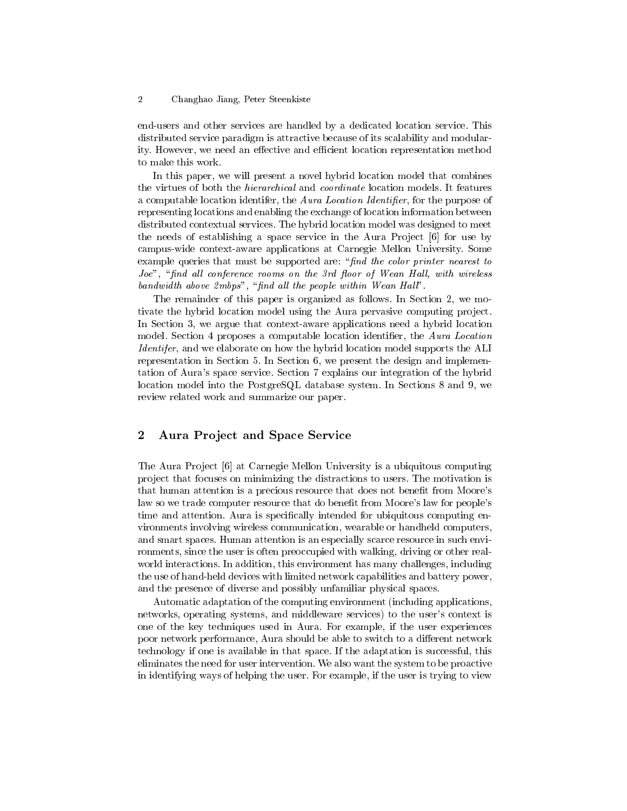#### $\overline{2}$ Changhao Jiang, Peter Steenkiste

end-users and other services are handled by a dedicated location service. This distributed service paradigm is attractive because of its scalability and modularity. However, we need an effective and efficient location representation method to make this work.

In this paper, we will present a novel hybrid location model that combines the virtues of both the *hierarchical* and *coordinate* location models. It features a computable location identifer, the Aura Location Identifier, for the purpose of representing locations and enabling the exchange of location information between distributed contextual services. The hybrid location model was designed to meet the needs of establishing a space service in the Aura Project [6] for use by campus-wide context-aware applications at Carnegie Mellon University. Some example queries that must be supported are: "find the color printer nearest to Joe", "find all conference rooms on the 3rd floor of Wean Hall, with wireless bandwidth above 2mbps", "find all the people within Wean Hall".

The remainder of this paper is organized as follows. In Section 2, we motivate the hybrid location model using the Aura pervasive computing project. In Section 3, we argue that context-aware applications need a hybrid location model. Section 4 proposes a computable location identifier, the Aura Location *Identifer*, and we elaborate on how the hybrid location model supports the ALI representation in Section 5. In Section 6, we present the design and implementation of Aura's space service. Section 7 explains our integration of the hybrid location model into the PostgreSQL database system. In Sections 8 and 9, we review related work and summarize our paper.

#### $\overline{2}$ **Aura Project and Space Service**

The Aura Project [6] at Carnegie Mellon University is a ubiquitous computing project that focuses on minimizing the distractions to users. The motivation is that human attention is a precious resource that does not benefit from Moore's law so we trade computer resource that do benefit from Moore's law for people's time and attention. Aura is specifically intended for ubiquitous computing environments involving wireless communication, wearable or handheld computers, and smart spaces. Human attention is an especially scarce resource in such environments, since the user is often preoccupied with walking, driving or other realworld interactions. In addition, this environment has many challenges, including the use of hand-held devices with limited network capabilities and battery power, and the presence of diverse and possibly unfamiliar physical spaces.

Automatic adaptation of the computing environment (including applications, networks, operating systems, and middleware services) to the user's context is one of the key techniques used in Aura. For example, if the user experiences poor network performance, Aura should be able to switch to a different network technology if one is available in that space. If the adaptation is successful, this eliminates the need for user intervention. We also want the system to be proactive in identifying ways of helping the user. For example, if the user is trying to view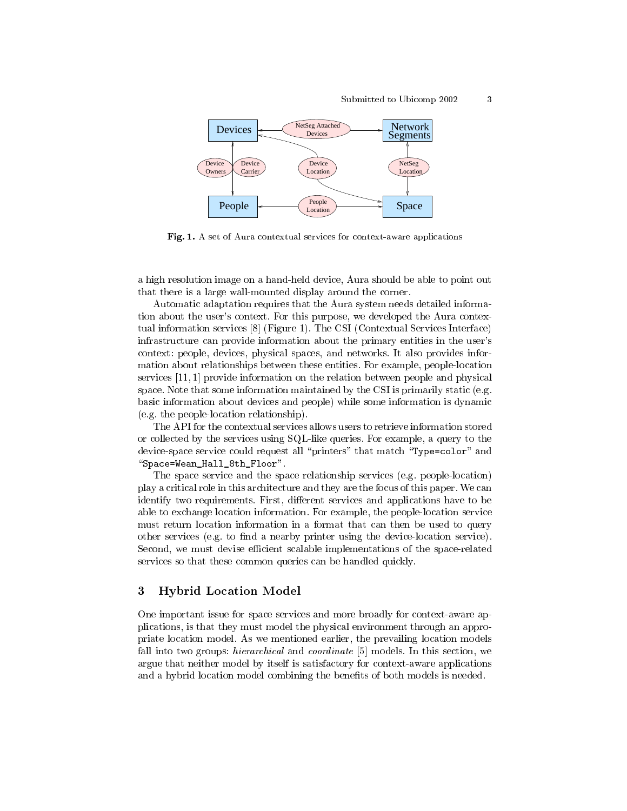

Fig. 1. A set of Aura contextual services for context-aware applications

a high resolution image on a hand-held device, Aura should be able to point out that there is a large wall-mounted display around the corner.

Automatic adaptation requires that the Aura system needs detailed information about the user's context. For this purpose, we developed the Aura contextual information services [8] (Figure 1). The CSI (Contextual Services Interface) infrastructure can provide information about the primary entities in the user's context: people, devices, physical spaces, and networks. It also provides information about relationships between these entities. For example, people-location services [11,1] provide information on the relation between people and physical space. Note that some information maintained by the CSI is primarily static (e.g. basic information about devices and people) while some information is dynamic (e.g. the people-location relationship).

The API for the contextual services allows users to retrieve information stored or collected by the services using SQL-like queries. For example, a query to the device-space service could request all "printers" that match "Type=color" and "Space=Wean\_Hall\_8th\_Floor".

The space service and the space relationship services (e.g. people-location) play a critical role in this architecture and they are the focus of this paper. We can identify two requirements. First, different services and applications have to be able to exchange location information. For example, the people-location service must return location information in a format that can then be used to query other services (e.g. to find a nearby printer using the device-location service). Second, we must devise efficient scalable implementations of the space-related services so that these common queries can be handled quickly.

#### 3 **Hybrid Location Model**

One important issue for space services and more broadly for context-aware applications, is that they must model the physical environment through an appropriate location model. As we mentioned earlier, the prevailing location models fall into two groups: *hierarchical* and *coordinate* [5] models. In this section, we argue that neither model by itself is satisfactory for context-aware applications and a hybrid location model combining the benefits of both models is needed.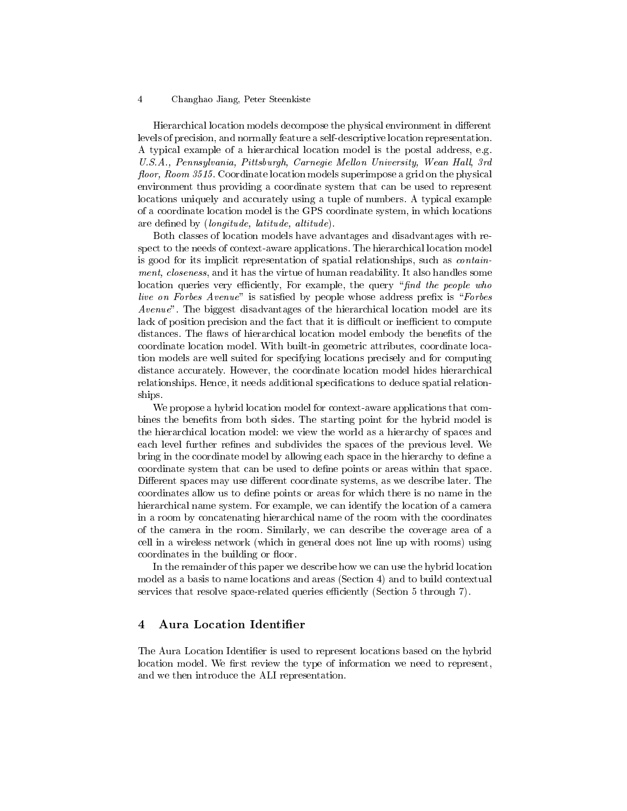#### $\overline{4}$ Changhao Jiang, Peter Steenkiste

Hierarchical location models decompose the physical environment in different levels of precision, and normally feature a self-descriptive location representation. A typical example of a hierarchical location model is the postal address, e.g. U.S.A., Pennsylvania, Pittsburgh, Carnegie Mellon University, Wean Hall, 3rd *floor, Room 3515.* Coordinate location models superimpose a grid on the physical environment thus providing a coordinate system that can be used to represent locations uniquely and accurately using a tuple of numbers. A typical example of a coordinate location model is the GPS coordinate system, in which locations are defined by *(longitude, latitude, altitude)*.

Both classes of location models have advantages and disadvantages with respect to the needs of context-aware applications. The hierarchical location model is good for its implicit representation of spatial relationships, such as *containment, closeness,* and it has the virtue of human readability. It also handles some location queries very efficiently, For example, the query "find the people who *live on Forbes Avenue*" is satisfied by people whose address prefix is "Forbes" *Avenue*". The biggest disadvantages of the hierarchical location model are its lack of position precision and the fact that it is difficult or inefficient to compute distances. The flaws of hierarchical location model embody the benefits of the coordinate location model. With built-in geometric attributes, coordinate location models are well suited for specifying locations precisely and for computing distance accurately. However, the coordinate location model hides hierarchical relationships. Hence, it needs additional specifications to deduce spatial relationships.

We propose a hybrid location model for context-aware applications that combines the benefits from both sides. The starting point for the hybrid model is the hierarchical location model: we view the world as a hierarchy of spaces and each level further refines and subdivides the spaces of the previous level. We bring in the coordinate model by allowing each space in the hierarchy to define a coordinate system that can be used to define points or areas within that space. Different spaces may use different coordinate systems, as we describe later. The coordinates allow us to define points or areas for which there is no name in the hierarchical name system. For example, we can identify the location of a camera in a room by concatenating hierarchical name of the room with the coordinates of the camera in the room. Similarly, we can describe the coverage area of a cell in a wireless network (which in general does not line up with rooms) using coordinates in the building or floor.

In the remainder of this paper we describe how we can use the hybrid location model as a basis to name locations and areas (Section 4) and to build contextual services that resolve space-related queries efficiently (Section 5 through 7).

#### **Aura Location Identifier**  $\overline{\mathbf{4}}$

The Aura Location Identifier is used to represent locations based on the hybrid location model. We first review the type of information we need to represent, and we then introduce the ALI representation.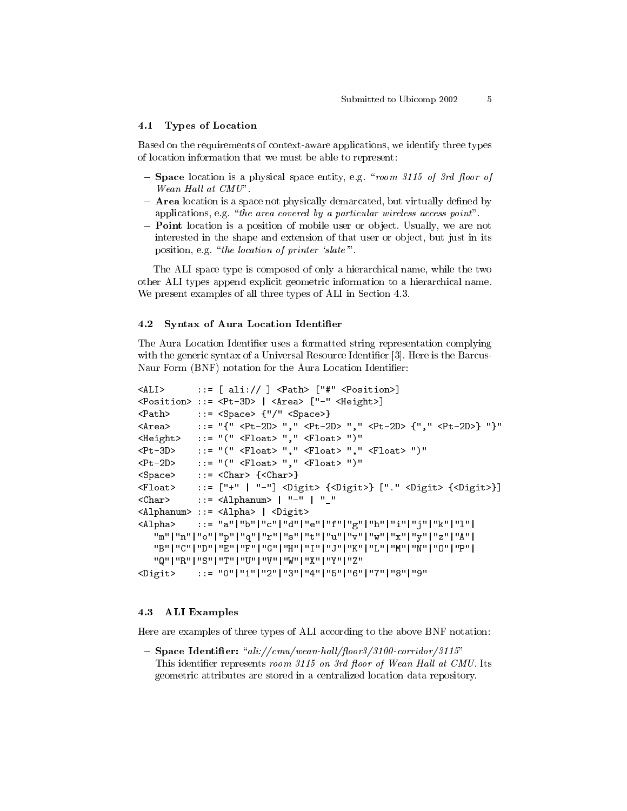#### $4.1$ **Types of Location**

Based on the requirements of context-aware applications, we identify three types of location information that we must be able to represent:

- Space location is a physical space entity, e.g. "room 3115 of 3rd floor of Wean Hall at CMU".
- Area location is a space not physically demarcated, but virtually defined by applications, e.g. "the area covered by a particular wireless access point".
- Point location is a position of mobile user or object. Usually, we are not interested in the shape and extension of that user or object, but just in its position, e.g. "the location of printer 'slate".

The ALI space type is composed of only a hierarchical name, while the two other ALI types append explicit geometric information to a hierarchical name. We present examples of all three types of ALI in Section 4.3.

#### $4.2$ **Syntax of Aura Location Identifier**

The Aura Location Identifier uses a formatted string representation complying with the generic syntax of a Universal Resource Identifier [3]. Here is the Barcus-Naur Form (BNF) notation for the Aura Location Identifier:

```
::= [ ali:// ] <Path> ["#" <Position>]
<AI.T><Position> ::= <Pt-3D> | <Area> ["-" <Height>]
\langle \text{Path} \rangle ::= \langle \text{Space} \rangle {"/" \langle \text{Space} \rangle}
                 ::= "{" <Pt-2D> "," <Pt-2D> "," <Pt-2D> {"," <Pt-2D>} "}"
<Area>
<Height> ::= "(" <Float> "," <Float> ")"
<Pt-3D> ::= "(" <Float> "," <Float> "," <Float> ")"
                 ::= "(" <Float> "," <Float> ")"
Pt-2D<Space>::= <Char> {<Char>}
<Float>
                 ::= ["+" | "-"] <Digit> {<Digit>} ["." <Digit> {<Digit>}]
                 ::= <Alphanum> | "-" | " "
<Char><Alphanum> ::= <Alpha> | <Digit>
                  : := "a"|"b"|"c"|"d"|"e"|"f"|"g"|"h"|"i"|"j"|"k"|"1"|
\Deltalpha>
    "m" | "n" | "o" | "p" | "q" | "r" | "s" | "t" | "u" | "v" | "w" | "x" | "y" | "z" | "A" |"B" | "C" | "D" | "E" | "F" | "G" | "H" | "I" | "J" | "K" | "L" | "M" | "N" | "O" | "P" |
    \mathfrak{n} \oplus \mathfrak{n} + \mathfrak{n} \mathbf{g} \mathfrak{n} + \mathfrak{n} \mathbf{g} \mathfrak{n} + \mathfrak{n} \mathfrak{m} + \mathfrak{n} \mathfrak{m} + \mathfrak{n} \mathfrak{g} \mathfrak{n} + \mathfrak{n} \mathfrak{g} \mathfrak{n} + \mathfrak{n} \mathfrak{g} \mathfrak{n} + \mathfrak{n} \mathfrak{g} \mathfrak{n} + \mathfrak{n} \mathfrak{g} \mathfrak{n}\cdot: = "0" | "1" | "2" | "3" | "4" | "5" | "6" | "7" | "8" | "9"
\Deltaigit>
```
#### 4.3 **ALI** Examples

Here are examples of three types of ALI according to the above BNF notation:

- Space Identifier: "ali://cmu/wean-hall/floor3/3100-corridor/3115" This identifier represents room 3115 on 3rd floor of Wean Hall at CMU. Its geometric attributes are stored in a centralized location data repository.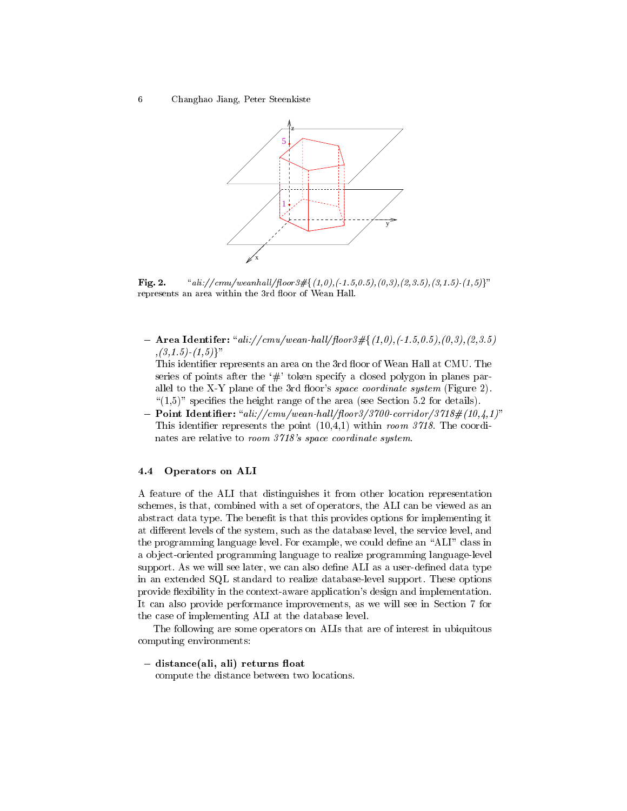$\,6$ Changhao Jiang, Peter Steenkiste



"ali://cmu/weanhall/floor3#{ $(1,0), (-1.5, 0.5), (0,3), (2,3.5), (3,1.5)$  $(1,5)$ }" Fig. 2. represents an area within the 3rd floor of Wean Hall.

- Area Identifer: "ali://cmu/wean-hall/floor3#{ $(1,0), (-1.5, 0.5), (0,3), (2,3.5)$  $,(3,1.5)-(1,5)$ <sup>"</sup>

This identifier represents an area on the 3rd floor of Wean Hall at CMU. The series of points after the ' $\#$ ' token specify a closed polygon in planes parallel to the X-Y plane of the 3rd floor's space coordinate system (Figure 2). " $(1,5)$ " specifies the height range of the area (see Section 5.2 for details).

- Point Identifier: "ali://cmu/wean-hall/floor3/3700-corridor/3718# $(10.4.1)$ " This identifier represents the point  $(10,4,1)$  within room 3718. The coordinates are relative to room 3718's space coordinate system.

#### 4.4 Operators on ALI

A feature of the ALI that distinguishes it from other location representation schemes, is that, combined with a set of operators, the ALI can be viewed as an abstract data type. The benefit is that this provides options for implementing it at different levels of the system, such as the database level, the service level, and the programming language level. For example, we could define an "ALI" class in a object-oriented programming language to realize programming language-level support. As we will see later, we can also define ALI as a user-defined data type in an extended SQL standard to realize database-level support. These options provide flexibility in the context-aware application's design and implementation. It can also provide performance improvements, as we will see in Section 7 for the case of implementing ALI at the database level.

The following are some operators on ALIs that are of interest in ubiquitous computing environments:

### - distance(ali, ali) returns float

compute the distance between two locations.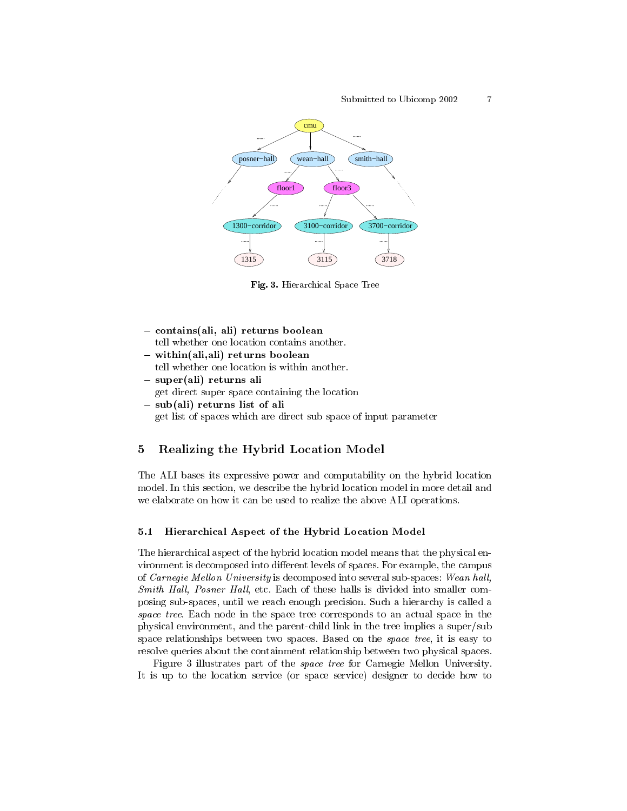

Fig. 3. Hierarchical Space Tree

- contains (ali, ali) returns boolean tell whether one location contains another.
- within(ali,ali) returns boolean tell whether one location is within another.
- super(ali) returns ali get direct super space containing the location
- sub(ali) returns list of ali get list of spaces which are direct sub space of input parameter

#### Realizing the Hybrid Location Model  $\mathbf 5$

The ALI bases its expressive power and computability on the hybrid location model. In this section, we describe the hybrid location model in more detail and we elaborate on how it can be used to realize the above ALI operations.

#### Hierarchical Aspect of the Hybrid Location Model  $5.1$

The hierarchical aspect of the hybrid location model means that the physical environment is decomposed into different levels of spaces. For example, the campus of *Carnegie Mellon University* is decomposed into several sub-spaces: Wean hall, Smith Hall, Posner Hall, etc. Each of these halls is divided into smaller composing sub-spaces, until we reach enough precision. Such a hierarchy is called a space tree. Each node in the space tree corresponds to an actual space in the physical environment, and the parent-child link in the tree implies a super/sub space relationships between two spaces. Based on the *space tree*, it is easy to resolve queries about the containment relationship between two physical spaces.

Figure 3 illustrates part of the *space tree* for Carnegie Mellon University. It is up to the location service (or space service) designer to decide how to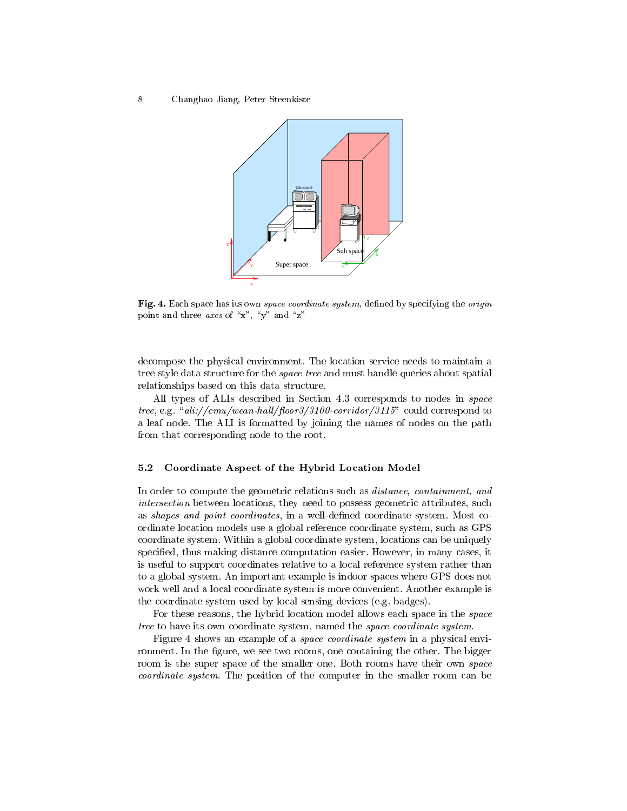8 Changhao Jiang, Peter Steenkiste



Fig. 4. Each space has its own space coordinate system, defined by specifying the origin point and three axes of "x", "y" and "z"

decompose the physical environment. The location service needs to maintain a tree style data structure for the *space tree* and must handle queries about spatial relationships based on this data structure.

All types of ALIs described in Section 4.3 corresponds to nodes in *space* tree, e.g. "ali://cmu/wean-hall/floor3/3100-corridor/3115" could correspond to a leaf node. The ALI is formatted by joining the names of nodes on the path from that corresponding node to the root.

#### $5.2$ Coordinate Aspect of the Hybrid Location Model

In order to compute the geometric relations such as *distance*, *containment*, and *intersection* between locations, they need to possess geometric attributes, such as shapes and point coordinates, in a well-defined coordinate system. Most coordinate location models use a global reference coordinate system, such as GPS coordinate system. Within a global coordinate system, locations can be uniquely specified, thus making distance computation easier. However, in many cases, it is useful to support coordinates relative to a local reference system rather than to a global system. An important example is indoor spaces where GPS does not work well and a local coordinate system is more convenient. Another example is the coordinate system used by local sensing devices (e.g. badges).

For these reasons, the hybrid location model allows each space in the *space tree* to have its own coordinate system, named the *space coordinate system*.

Figure 4 shows an example of a *space coordinate system* in a physical environment. In the figure, we see two rooms, one containing the other. The bigger room is the super space of the smaller one. Both rooms have their own space *coordinate system*. The position of the computer in the smaller room can be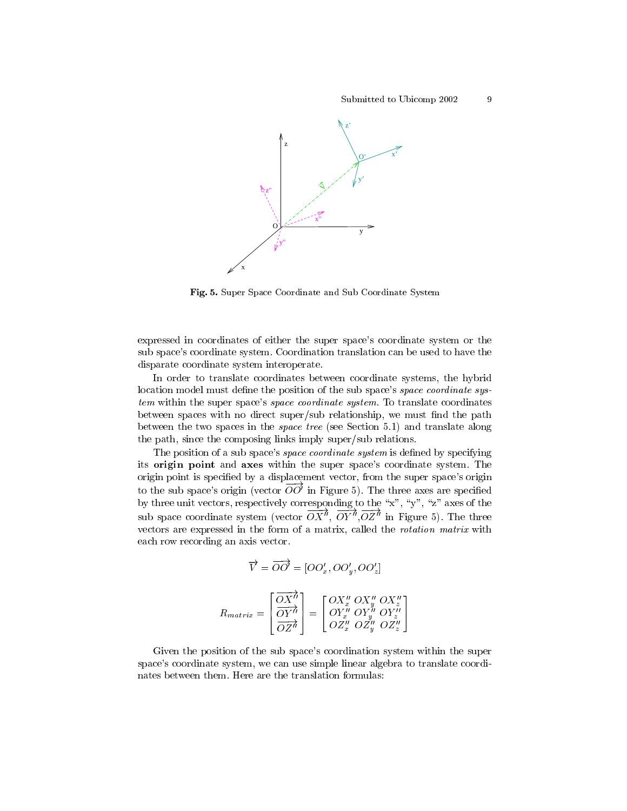

Fig. 5. Super Space Coordinate and Sub Coordinate System

expressed in coordinates of either the super space's coordinate system or the sub space's coordinate system. Coordination translation can be used to have the disparate coordinate system interoperate.

In order to translate coordinates between coordinate systems, the hybrid location model must define the position of the sub space's space coordinate sys*tem* within the super space's *space coordinate system*. To translate coordinates between spaces with no direct super/sub relationship, we must find the path between the two spaces in the *space tree* (see Section 5.1) and translate along the path, since the composing links imply super/sub relations.

The position of a sub space's *space coordinate system* is defined by specifying its **origin point** and **axes** within the super space's coordinate system. The origin point is specified by a displacement vector, from the super space's origin to the sub space's origin (vector  $\overrightarrow{OO'}$  in Figure 5). The three axes are specified by three unit vectors, respectively corresponding to the "x", "y", "z" axes of the sub space coordinate system (vector  $\overrightarrow{OX''}, \overrightarrow{OY''}, \overrightarrow{OZ''}$  in Figure 5). The three vectors are expressed in the form of a matrix, called the *rotation matrix* with each row recording an axis vector.

$$
\overrightarrow{V} = \overrightarrow{OO'} = [OO'_x, OO'_y, OO'_z]
$$

$$
R_{matrix} = \begin{bmatrix} \overrightarrow{OX''} \\ \overrightarrow{OY''} \\ \overrightarrow{OZ''} \end{bmatrix} = \begin{bmatrix} OX''_x & OX''_y & OX''_z \\ OY''_x & OY''_y & OY''_z \\ OZ''_x & OZ''_y & OZ''_z \end{bmatrix}
$$

Given the position of the sub space's coordination system within the super space's coordinate system, we can use simple linear algebra to translate coordinates between them. Here are the translation formulas: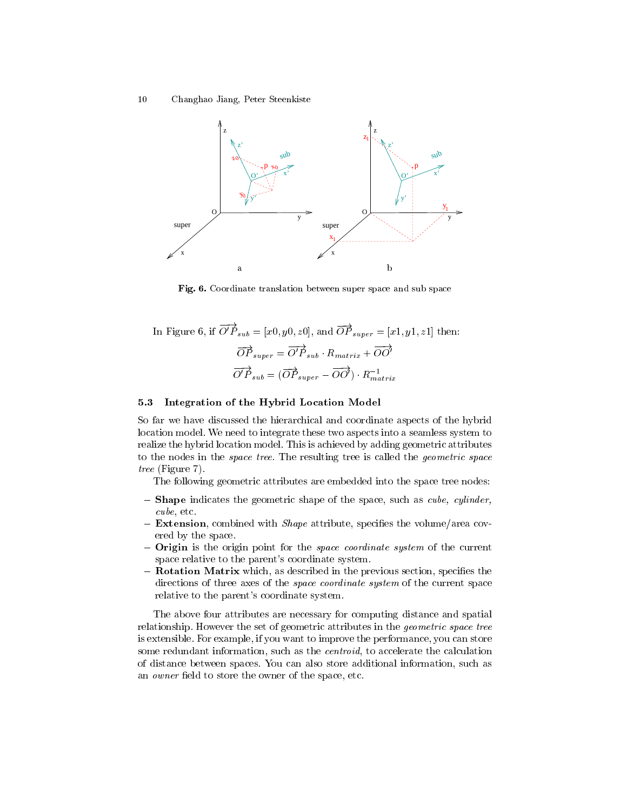$10$ Changhao Jiang, Peter Steenkiste



Fig. 6. Coordinate translation between super space and sub space

In Figure 6, if  $\overrightarrow{O'}\overrightarrow{P}_{sub} = [x0, y0, z0]$ , and  $\overrightarrow{OP}_{super} = [x1, y1, z1]$  then:  $\overrightarrow{OP}_{super} = \overrightarrow{O'P}_{sub} \cdot R_{matrix} + \overrightarrow{OO'}$  $\overrightarrow{O'}\overrightarrow{P}_{sub} = (\overrightarrow{OP}_{super} - \overrightarrow{OO'}) \cdot R_{matriz}^{-1}$ 

#### Integration of the Hybrid Location Model  $5.3$

So far we have discussed the hierarchical and coordinate aspects of the hybrid location model. We need to integrate these two aspects into a seamless system to realize the hybrid location model. This is achieved by adding geometric attributes to the nodes in the *space tree*. The resulting tree is called the *geometric space*  $tree$  (Figure 7).

The following geometric attributes are embedded into the space tree nodes:

- $-$  Shape indicates the geometric shape of the space, such as *cube*, *cylinder*,  $cube$ , etc.
- Extension, combined with *Shape* attribute, specifies the volume/area covered by the space.
- Origin is the origin point for the *space coordinate system* of the current space relative to the parent's coordinate system.
- Rotation Matrix which, as described in the previous section, specifies the directions of three axes of the *space coordinate system* of the current space relative to the parent's coordinate system.

The above four attributes are necessary for computing distance and spatial relationship. However the set of geometric attributes in the *geometric space tree* is extensible. For example, if you want to improve the performance, you can store some redundant information, such as the *centroid*, to accelerate the calculation of distance between spaces. You can also store additional information, such as an *owner* field to store the owner of the space, etc.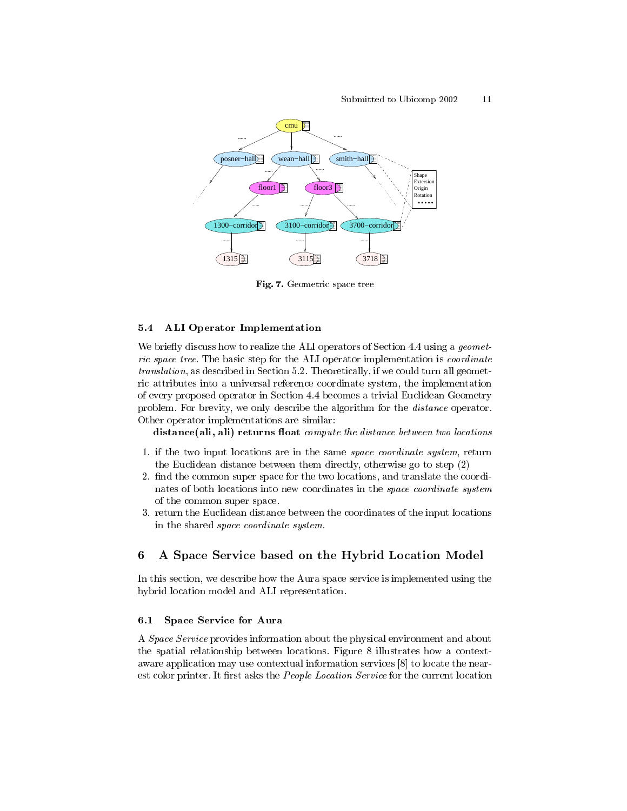

Fig. 7. Geometric space tree

#### $5.4$ **ALI** Operator Implementation

We briefly discuss how to realize the ALI operators of Section 4.4 using a *geometric space tree.* The basic step for the ALI operator implementation is *coordinate* translation, as described in Section 5.2. Theoretically, if we could turn all geometric attributes into a universal reference coordinate system, the implementation of every proposed operator in Section 4.4 becomes a trivial Euclidean Geometry problem. For brevity, we only describe the algorithm for the *distance* operator. Other operator implementations are similar:

distance (ali, ali) returns float *compute the distance between two locations* 

- 1. if the two input locations are in the same space coordinate system, return the Euclidean distance between them directly, otherwise go to step (2)
- 2. find the common super space for the two locations, and translate the coordinates of both locations into new coordinates in the *space coordinate system* of the common super space.
- 3. return the Euclidean distance between the coordinates of the input locations in the shared *space coordinate system*.

#### 6 A Space Service based on the Hybrid Location Model

In this section, we describe how the Aura space service is implemented using the hybrid location model and ALI representation.

#### $6.1$ Space Service for Aura

A Space Service provides information about the physical environment and about the spatial relationship between locations. Figure 8 illustrates how a contextaware application may use contextual information services [8] to locate the nearest color printer. It first asks the People Location Service for the current location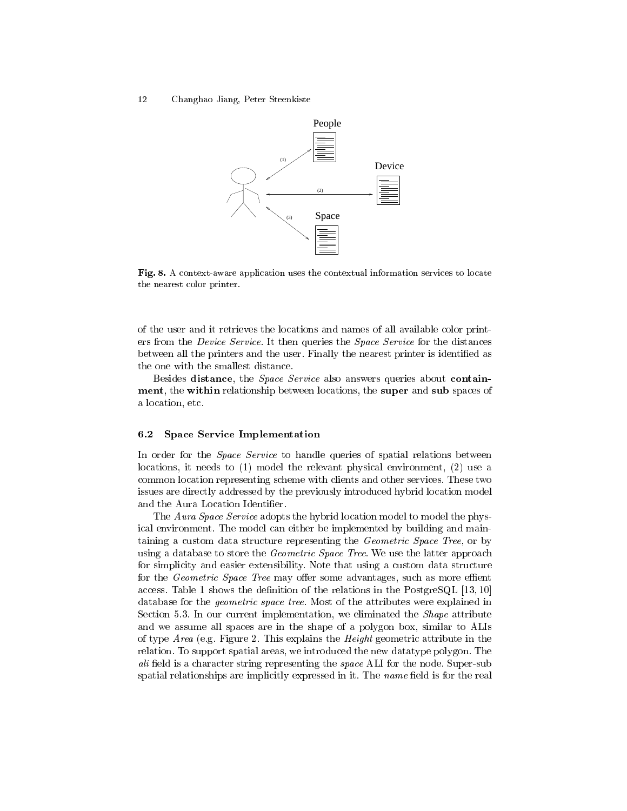#### 12 Changhao Jiang, Peter Steenkiste



Fig. 8. A context-aware application uses the contextual information services to locate the nearest color printer.

of the user and it retrieves the locations and names of all available color printers from the *Device Service*. It then queries the *Space Service* for the distances between all the printers and the user. Finally the nearest printer is identified as the one with the smallest distance.

Besides distance, the *Space Service* also answers queries about containment, the within relationship between locations, the super and sub spaces of a location, etc.

#### **Space Service Implementation**  $6.2$

In order for the *Space Service* to handle queries of spatial relations between locations, it needs to  $(1)$  model the relevant physical environment,  $(2)$  use a common location representing scheme with clients and other services. These two issues are directly addressed by the previously introduced hybrid location model and the Aura Location Identifier.

The Aura Space Service adopts the hybrid location model to model the physical environment. The model can either be implemented by building and maintaining a custom data structure representing the Geometric Space Tree, or by using a database to store the *Geometric Space Tree*. We use the latter approach for simplicity and easier extensibility. Note that using a custom data structure for the *Geometric Space Tree* may offer some advantages, such as more effient access. Table 1 shows the definition of the relations in the PostgreSQL  $[13, 10]$ database for the *geometric space tree*. Most of the attributes were explained in Section 5.3. In our current implementation, we eliminated the *Shape* attribute and we assume all spaces are in the shape of a polygon box, similar to ALIs of type Area (e.g. Figure 2. This explains the Height geometric attribute in the relation. To support spatial areas, we introduced the new data type polygon. The ali field is a character string representing the space ALI for the node. Super-sub spatial relationships are implicitly expressed in it. The name field is for the real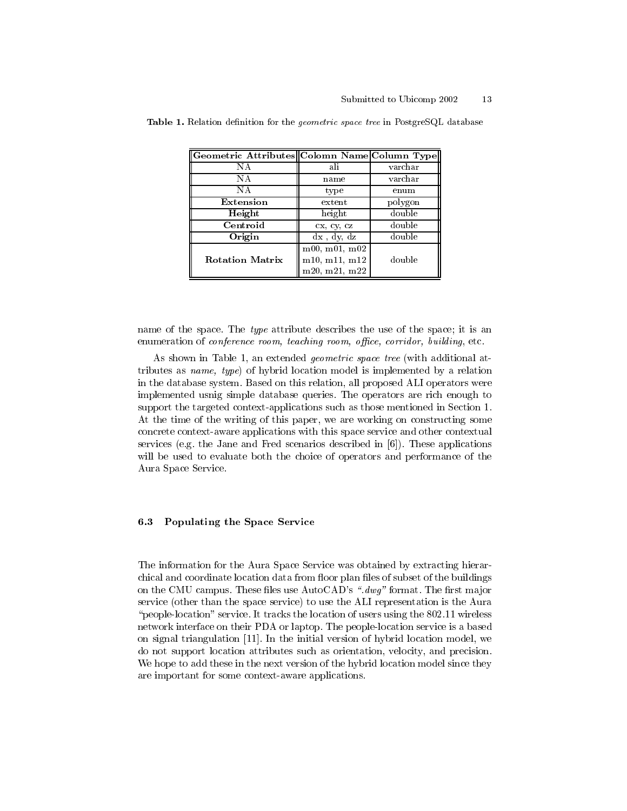| Geometric Attributes Colomn Name Column Type |                    |         |
|----------------------------------------------|--------------------|---------|
| NΑ                                           | ali                | varchar |
| NΑ                                           | name               | varchar |
| NΑ                                           | type               | enum    |
| <b>Extension</b>                             | extent             | polygon |
| Height                                       | height             | double  |
| Centroid                                     | cx, cy, cz         | double  |
| $O$ rigin                                    | $dx$ , $dy$ , $dz$ | double  |
|                                              | m00, m01, m02      |         |
| <b>Rotation Matrix</b>                       | m10, m11, m12      | double  |
|                                              | m20, m21, m22      |         |

Table 1. Relation definition for the *geometric space tree* in PostgreSQL database

name of the space. The type attribute describes the use of the space; it is an enumeration of conference room, teaching room, office, corridor, building, etc.

As shown in Table 1, an extended *geometric space tree* (with additional attributes as name, type) of hybrid location model is implemented by a relation in the database system. Based on this relation, all proposed ALI operators were implemented usnig simple database queries. The operators are rich enough to support the targeted context-applications such as those mentioned in Section 1. At the time of the writing of this paper, we are working on constructing some concrete context-aware applications with this space service and other contextual services (e.g. the Jane and Fred scenarios described in [6]). These applications will be used to evaluate both the choice of operators and performance of the Aura Space Service.

#### $6.3$ Populating the Space Service

The information for the Aura Space Service was obtained by extracting hierarchical and coordinate location data from floor plan files of subset of the buildings on the CMU campus. These files use AutoCAD's ".dwg" format. The first major service (other than the space service) to use the ALI representation is the Aura "people-location" service. It tracks the location of users using the 802.11 wireless network interface on their PDA or laptop. The people-location service is a based on signal triangulation [11]. In the initial version of hybrid location model, we do not support location attributes such as orientation, velocity, and precision. We hope to add these in the next version of the hybrid location model since they are important for some context-aware applications.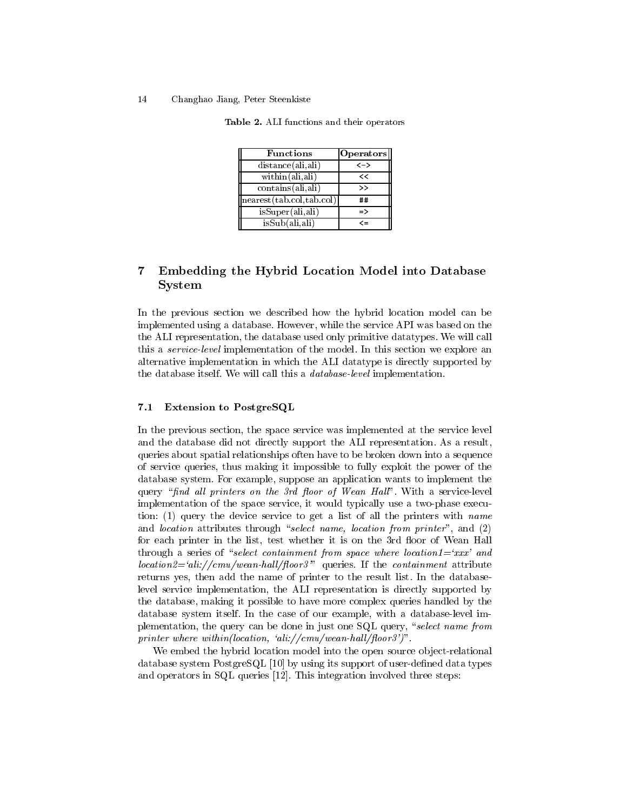#### 14 Changhao Jiang, Peter Steenkiste

|  | Table 2. ALI functions and their operators |  |  |
|--|--------------------------------------------|--|--|
|  |                                            |  |  |

| <b>Functions</b>               | Operators     |  |
|--------------------------------|---------------|--|
| distance(ali,ali)              | <->           |  |
| within $(ali, \overline{ali})$ | <<            |  |
| contains(ali, ali)             | $\rightarrow$ |  |
| nearest (tab.col, tab.col)     | ##            |  |
| isSuper(ali,ali)               | $\Rightarrow$ |  |
| isSub(ali, ali)                | $\epsilon$ =  |  |

### $\overline{7}$ Embedding the Hybrid Location Model into Database  $\mathbf{System}$

In the previous section we described how the hybrid location model can be implemented using a database. However, while the service API was based on the the ALI representation, the database used only primitive datatypes. We will call this a *service-level* implementation of the model. In this section we explore an alternative implementation in which the ALI data type is directly supported by the database itself. We will call this a *database-level* implementation.

#### $7.1$ **Extension to PostgreSQL**

In the previous section, the space service was implemented at the service level and the database did not directly support the ALI representation. As a result, queries about spatial relationships often have to be broken down into a sequence of service queries, thus making it impossible to fully exploit the power of the database system. For example, suppose an application wants to implement the query "find all printers on the 3rd floor of Wean Hall". With a service-level implementation of the space service, it would typically use a two-phase execution: (1) query the device service to get a list of all the printers with *name* and *location* attributes through "select name, *location* from printer", and (2) for each printer in the list, test whether it is on the 3rd floor of Wean Hall through a series of "select containment from space where location1= $'xxx'$  and  $location2 = 'ali! //cmu/mean-hall/floor3"$  queries. If the *containment* attribute returns yes, then add the name of printer to the result list. In the databaselevel service implementation, the ALI representation is directly supported by the database, making it possible to have more complex queries handled by the database system itself. In the case of our example, with a database-level implementation, the query can be done in just one SQL query, "select name from printer where within(location, 'ali://cmu/wean-hall/floor 3')".

We embed the hybrid location model into the open source object-relational database system PostgreSQL [10] by using its support of user-defined data types and operators in SQL queries [12]. This integration involved three steps: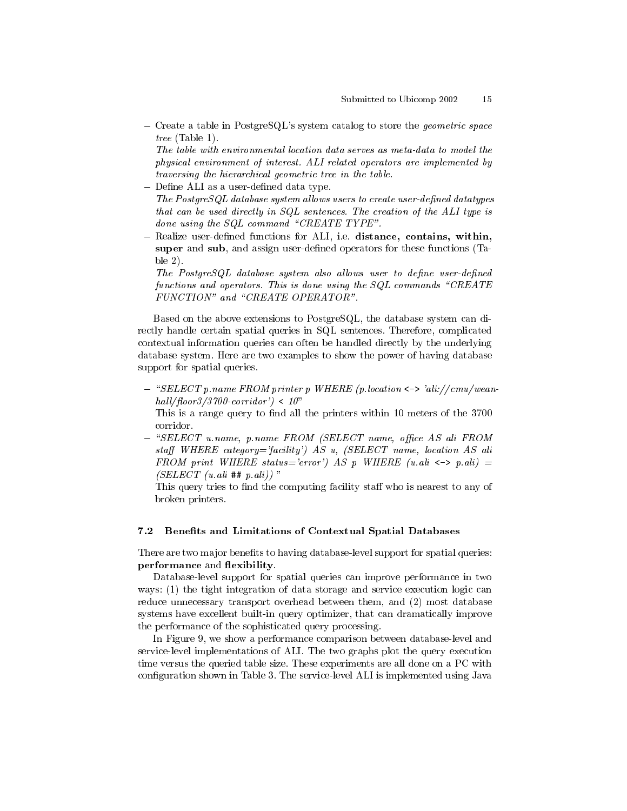- Create a table in PostgreSQL's system catalog to store the *geometric space tree* (Table 1).

The table with environmental location data serves as meta-data to model the physical environment of interest. ALI related operators are implemented by traversing the hierarchical geometric tree in the table.

- Define ALI as a user-defined data type.

The PostgreSQL database system allows users to create user-defined datatypes that can be used directly in  $SQL$  sentences. The creation of the ALI type is done using the  $SQL$  command "CREATE TYPE".

Realize user-defined functions for ALI, i.e. distance, contains, within, super and sub, and assign user-defined operators for these functions (Table 2).

The PostgreSQL database system also allows user to define user-defined functions and operators. This is done using the SQL commands "CREATE" FUNCTION" and "CREATE OPERATOR".

Based on the above extensions to PostgreSQL, the database system can directly handle certain spatial queries in SQL sentences. Therefore, complicated contextual information queries can often be handled directly by the underlying database system. Here are two examples to show the power of having database support for spatial queries.

- "SELECT p.name FROM printer p WHERE (p.location <-> 'ali://cmu/weanhall/floor3/3700-corridor') <  $10$ "

This is a range query to find all the printers within 10 meters of the 3700 corridor.

- "SELECT u.name, p.name FROM (SELECT name, office AS ali FROM staff WHERE category='facility') AS u, (SELECT name, location AS ali FROM print WHERE status='error') AS p WHERE (u.ali  $\langle -\rangle$  p.ali) =  $(SELECT (u. ali # # p. ali))$ "

This query tries to find the computing facility staff who is nearest to any of broken printers.

#### $7.2$ **Benefits and Limitations of Contextual Spatial Databases**

There are two major benefits to having database-level support for spatial queries: performance and flexibility.

Database-level support for spatial queries can improve performance in two ways: (1) the tight integration of data storage and service execution logic can reduce unnecessary transport overhead between them, and (2) most database systems have excellent built-in query optimizer, that can dramatically improve the performance of the sophisticated query processing.

In Figure 9, we show a performance comparison between database-level and service-level implementations of ALI. The two graphs plot the query execution time versus the queried table size. These experiments are all done on a PC with configuration shown in Table 3. The service-level ALI is implemented using Java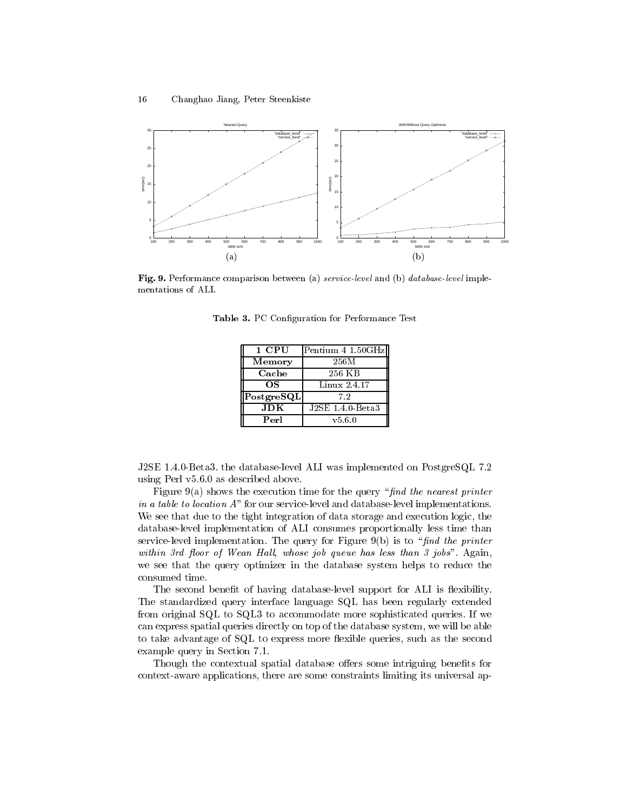

Fig. 9. Performance comparison between (a) service-level and (b) database-level implementations of ALI.

Table 3. PC Configuration for Performance Test

| 1 CPU                                          | Pentium 4 1.50GHz |
|------------------------------------------------|-------------------|
| Memory                                         | 256 M             |
| Cache                                          | 256 KB            |
| ΟS                                             | Linux 2.4.17      |
| $\left  \mathrm{PostgreS\overline{QL}}\right $ | 7.2               |
| JDK                                            | J2SE 1.4.0-Beta3  |
| Perl                                           | v5.6.0            |

J2SE 1.4.0-Beta3. the database-level ALI was implemented on PostgreSQL 7.2 using Perl v5.6.0 as described above.

Figure 9(a) shows the execution time for the query "find the nearest printer *in a table to location A*" for our service-level and database-level implementations. We see that due to the tight integration of data storage and execution logic, the database-level implementation of ALI consumes proportionally less time than service-level implementation. The query for Figure  $9(b)$  is to "find the printer within 3rd floor of Wean Hall, whose job queue has less than 3 jobs". Again, we see that the query optimizer in the database system helps to reduce the consumed time.

The second benefit of having database-level support for ALI is flexibility. The standardized query interface language SQL has been regularly extended from original SQL to SQL3 to accommodate more sophisticated queries. If we can express spatial queries directly on top of the database system, we will be able to take advantage of SQL to express more flexible queries, such as the second example query in Section 7.1.

Though the contextual spatial database offers some intriguing benefits for context-aware applications, there are some constraints limiting its universal ap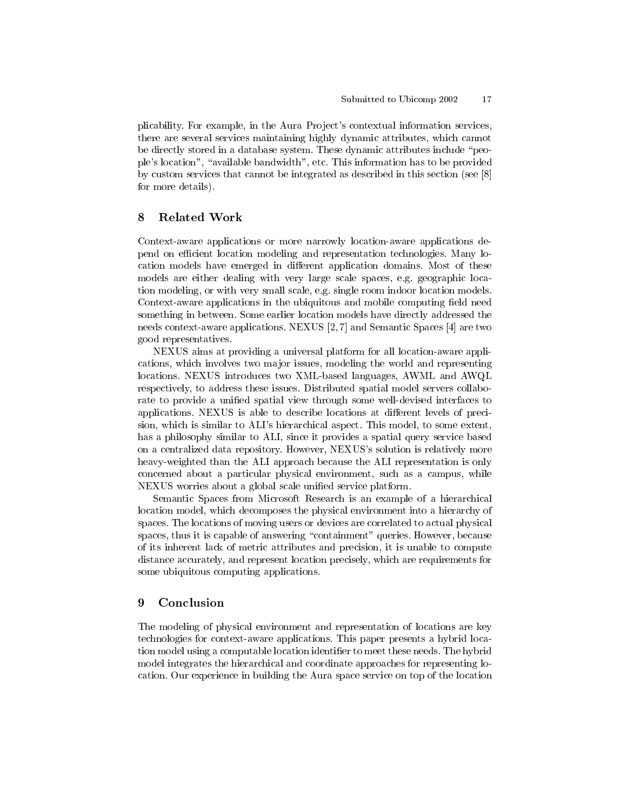plicability. For example, in the Aura Project's contextual information services, there are several services maintaining highly dynamic attributes, which cannot be directly stored in a database system. These dynamic attributes include "people's location", "available bandwidth", etc. This information has to be provided by custom services that cannot be integrated as described in this section (see [8] for more details).

#### **Related Work** 8

Context-aware applications or more narrowly location-aware applications depend on efficient location modeling and representation technologies. Many location models have emerged in different application domains. Most of these models are either dealing with very large scale spaces, e.g. geographic location modeling, or with very small scale, e.g. single room indoor location models. Context-aware applications in the ubiquitous and mobile computing field need something in between. Some earlier location models have directly addressed the needs context-aware applications. NEXUS [2,7] and Semantic Spaces [4] are two good representatives.

NEXUS aims at providing a universal platform for all location-aware applications, which involves two major issues, modeling the world and representing locations. NEXUS introduces two XML-based languages, AWML and AWQL respectively, to address these issues. Distributed spatial model servers collaborate to provide a unified spatial view through some well-devised interfaces to applications. NEXUS is able to describe locations at different levels of precision, which is similar to ALI's hierarchical aspect. This model, to some extent, has a philosophy similar to ALI, since it provides a spatial query service based on a centralized data repository. However, NEXUS's solution is relatively more heavy-weighted than the ALI approach because the ALI representation is only concerned about a particular physical environment, such as a campus, while NEXUS worries about a global scale unified service platform.

Semantic Spaces from Microsoft Research is an example of a hierarchical location model, which decomposes the physical environment into a hierarchy of spaces. The locations of moving users or devices are correlated to actual physical spaces, thus it is capable of answering "containment" queries. However, because of its inherent lack of metric attributes and precision, it is unable to compute distance accurately, and represent location precisely, which are requirements for some ubiquitous computing applications.

#### 9 Conclusion

The modeling of physical environment and representation of locations are key technologies for context-aware applications. This paper presents a hybrid location model using a computable location identifier to meet these needs. The hybrid model integrates the hierarchical and coordinate approaches for representing location. Our experience in building the Aura space service on top of the location